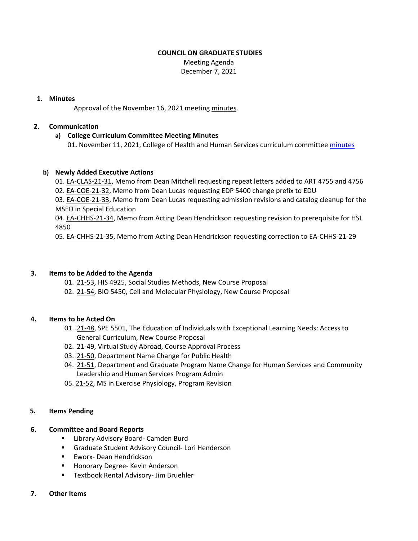## **COUNCIL ON GRADUATE STUDIES**

 Meeting Agenda December 7, 2021

## **1. Minutes**

Approval of the November 16, 2021 meeting [minutes.](https://castle.eiu.edu/eiucgs/currentminutes/Minutes11-16-21.pdf)

## **2. Communication**

#### **a) College Curriculum Committee Meeting Minutes**

01**.** November 11, 2021, College of Health and Human Services curriculum committee [minutes](https://pmaileiu-my.sharepoint.com/:w:/r/personal/jemmett_eiu_edu/_layouts/15/Doc.aspx?sourcedoc=%7B5629957A-4381-4BEE-A204-B862F8E9F3A1%7D&file=11-11-21%20CHHSCC%20Minutes.docx&action=default&mobileredirect=true)

# **b) Newly Added Executive Actions**

01. EA‐[CLAS](https://castle.eiu.edu/eiucgs/exec-actions/EA-CLAS-21-31.pdf)‐21‐31, Memo from Dean Mitchell requesting repeat letters added to ART 4755 and 4756 02. EA-[COE](https://castle.eiu.edu/eiucgs/exec-actions/EA-COE-21-32.pdf)-21-32, Memo from Dean Lucas requesting EDP 5400 change prefix to EDU 03. EA‐[COE](https://castle.eiu.edu/eiucgs/exec-actions/EA-COE-21-33.pdf)‐21‐33, Memo from Dean Lucas requesting admission revisions and catalog cleanup for the MSED in Special Education

04. EA‐[CHHS](https://castle.eiu.edu/eiucgs/exec-actions/EA-CHHS-21-34.pdf)‐21‐34, Memo from Acting Dean Hendrickson requesting revision to prerequisite for HSL 4850

05. EA‐[CHHS](https://castle.eiu.edu/eiucgs/exec-actions/EA-CHHS-21-35.pdf)‐21‐35, Memo from Acting Dean Hendrickson requesting correction to EA‐CHHS‐21‐29

## **3. Items to be Added to the Agenda**

- 01. 21‐[53,](https://castle.eiu.edu/eiucgs/currentagendaitems/agenda21-53.pdf) HIS 4925, Social Studies Methods, New Course Proposal
- 02. 21-[54,](https://castle.eiu.edu/eiucgs/currentagendaitems/agenda21-54.pdf) BIO 5450, Cell and Molecular Physiology, New Course Proposal

# **4. Items to be Acted On**

- 01. 21‐[48,](https://castle.eiu.edu/eiucgs/currentagendaitems/agenda21-48.pdf) SPE 5501, The Education of Individuals with Exceptional Learning Needs: Access to General Curriculum, New Course Proposal
- 02. 21‐[49,](https://castle.eiu.edu/eiucgs/currentagendaitems/agenda21-49.pdf) Virtual Study Abroad, Course Approval Process
- 03. 21‐[50,](https://castle.eiu.edu/eiucgs/currentagendaitems/agenda21-50.pdf) Department Name Change for Public Health
- 04. 21-[51,](https://castle.eiu.edu/eiucgs/currentagendaitems/agenda21-51.pdf) Department and Graduate Program Name Change for Human Services and Community Leadership and Human Services Program Admin
- 05. 21-[52,](https://castle.eiu.edu/eiucgs/currentagendaitems/agenda21-52.pdf) MS in Exercise Physiology, Program Revision

#### **5. Items Pending**

#### **6. Committee and Board Reports**

- Library Advisory Board- Camden Burd
- Graduate Student Advisory Council- Lori Henderson
- Eworx-Dean Hendrickson
- Honorary Degree- Kevin Anderson
- Textbook Rental Advisory- Jim Bruehler

#### **7. Other Items**